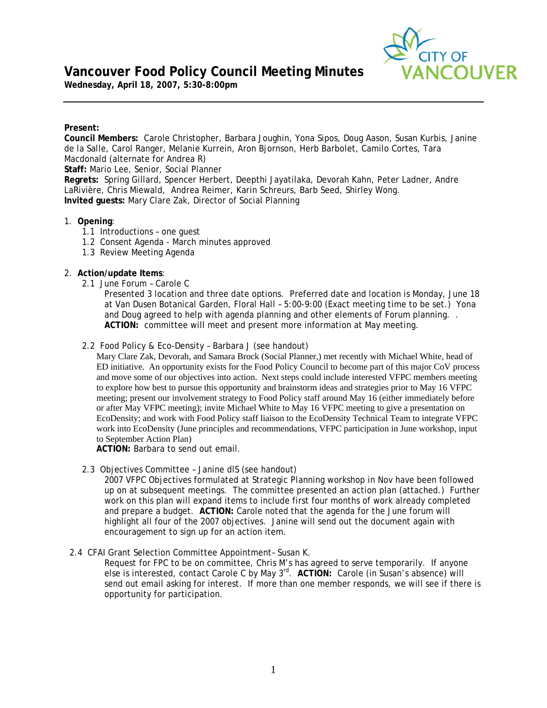# **Vancouver Food Policy Council Meeting Minutes**



**Wednesday, April 18, 2007, 5:30-8:00pm** 

# **Present:**

**Council Members:** Carole Christopher, Barbara Joughin, Yona Sipos, Doug Aason, Susan Kurbis, Janine de la Salle, Carol Ranger, Melanie Kurrein, Aron Bjornson, Herb Barbolet, Camilo Cortes, Tara Macdonald (alternate for Andrea R) **Staff:** Mario Lee, Senior, Social Planner **Regrets:** Spring Gillard, Spencer Herbert, Deepthi Jayatilaka, Devorah Kahn, Peter Ladner, Andre LaRivière, Chris Miewald, Andrea Reimer, Karin Schreurs, Barb Seed, Shirley Wong. **Invited guests:** Mary Clare Zak, Director of Social Planning

# 1. **Opening**:

- 1.1 Introductions one guest
- 1.2 Consent Agenda March minutes approved
- 1.3 Review Meeting Agenda

# 2. **Action/update Items**:

2.1 June Forum – Carole C

Presented 3 location and three date options. Preferred date and location is Monday, June 18 at Van Dusen Botanical Garden, Floral Hall – 5:00-9:00 (Exact meeting time to be set.) Yona and Doug agreed to help with agenda planning and other elements of Forum planning. . **ACTION:** committee will meet and present more information at May meeting.

2.2 Food Policy & Eco-Density – Barbara J (see handout)

 Mary Clare Zak, Devorah, and Samara Brock (Social Planner,) met recently with Michael White, head of ED initiative. An opportunity exists for the Food Policy Council to become part of this major CoV process and move some of our objectives into action. Next steps could include interested VFPC members meeting to explore how best to pursue this opportunity and brainstorm ideas and strategies prior to May 16 VFPC meeting; present our involvement strategy to Food Policy staff around May 16 (either immediately before or after May VFPC meeting); invite Michael White to May 16 VFPC meeting to give a presentation on EcoDensity; and work with Food Policy staff liaison to the EcoDensity Technical Team to integrate VFPC work into EcoDensity (June principles and recommendations, VFPC participation in June workshop, input to September Action Plan)

**ACTION:** Barbara to send out email.

2.3 Objectives Committee – Janine dlS (see handout)

2007 VFPC Objectives formulated at Strategic Planning workshop in Nov have been followed up on at subsequent meetings. The committee presented an action plan (attached.) Further work on this plan will expand items to include first four months of work already completed and prepare a budget. **ACTION:** Carole noted that the agenda for the June forum will highlight all four of the 2007 objectives. Janine will send out the document again with encouragement to sign up for an action item.

2.4 CFAI Grant Selection Committee Appointment– Susan K.

Request for FPC to be on committee, Chris M's has agreed to serve temporarily. If anyone else is interested, contact Carole C by May 3rd. **ACTION:** Carole (in Susan's absence) will send out email asking for interest. If more than one member responds, we will see if there is opportunity for participation.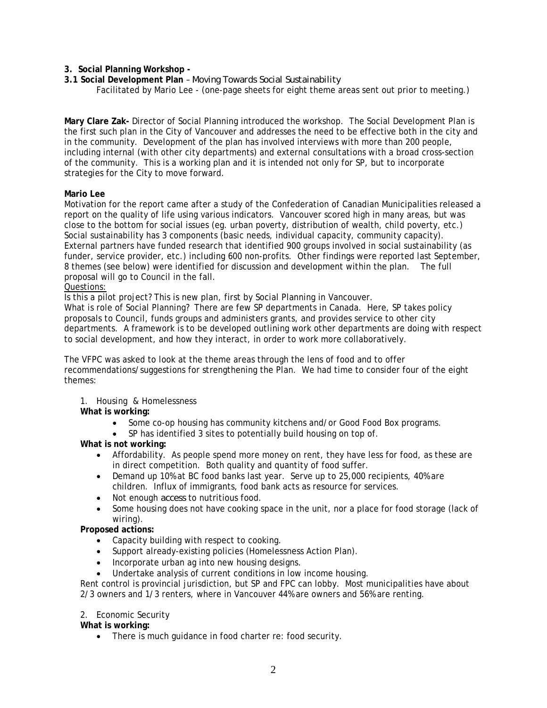**3. Social Planning Workshop -** 

**3.1 Social Development Plan** – *Moving Towards Social Sustainability*  Facilitated by Mario Lee - (one-page sheets for eight theme areas sent out prior to meeting.)

**Mary Clare Zak-** Director of Social Planning introduced the workshop. The Social Development Plan is the first such plan in the City of Vancouver and addresses the need to be effective both in the city and in the community. Development of the plan has involved interviews with more than 200 people, including internal (with other city departments) and external consultations with a broad cross-section of the community. This is a working plan and it is intended not only for SP, but to incorporate strategies for the City to move forward.

#### **Mario Lee**

Motivation for the report came after a study of the Confederation of Canadian Municipalities released a report on the quality of life using various indicators. Vancouver scored high in many areas, but was close to the bottom for social issues (eg. urban poverty, distribution of wealth, child poverty, etc.) Social sustainability has 3 components (basic needs, individual capacity, community capacity). External partners have funded research that identified 900 groups involved in social sustainability (as funder, service provider, etc.) including 600 non-profits. Other findings were reported last September, 8 themes (see below) were identified for discussion and development within the plan. The full proposal will go to Council in the fall.

#### Questions:

Is this a pilot project? This is new plan, first by Social Planning in Vancouver.

What is role of Social Planning? There are few SP departments in Canada. Here, SP takes policy proposals to Council, funds groups and administers grants, and provides service to other city departments. A framework is to be developed outlining work other departments are doing with respect to social development, and how they interact, in order to work more collaboratively.

The VFPC was asked to look at the theme areas through the lens of food and to offer recommendations/suggestions for strengthening the Plan. We had time to consider four of the eight themes:

1. Housing & Homelessness

### **What is working:**

- Some co-op housing has community kitchens and/or Good Food Box programs.
- SP has identified 3 sites to potentially build housing on top of.

#### **What is not working:**

- Affordability. As people spend more money on rent, they have less for food, as these are in direct competition. Both quality and quantity of food suffer.
- Demand up 10% at BC food banks last year. Serve up to 25,000 recipients, 40% are children. Influx of immigrants, food bank acts as resource for services.
- Not enough *access* to nutritious food.
- Some housing does not have cooking space in the unit, nor a place for food storage (lack of wiring).

## **Proposed actions:**

- Capacity building with respect to cooking.
- Support already-existing policies (Homelessness Action Plan).
- Incorporate urban ag into new housing designs.
- Undertake analysis of current conditions in low income housing.

Rent control is provincial jurisdiction, but SP and FPC can lobby. Most municipalities have about 2/3 owners and 1/3 renters, where in Vancouver 44% are owners and 56% are renting.

#### 2. Economic Security

### **What is working:**

• There is much guidance in food charter re: food security.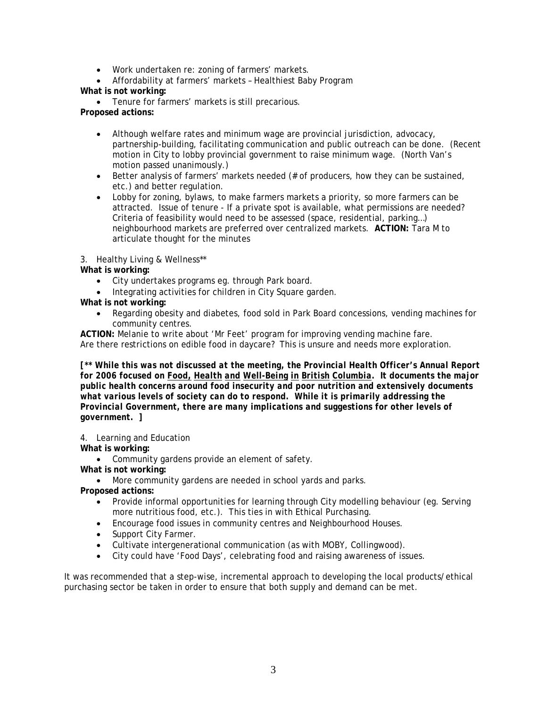- Work undertaken re: zoning of farmers' markets.
- Affordability at farmers' markets Healthiest Baby Program **What is not working:**

• Tenure for farmers' markets is still precarious.

**Proposed actions:** 

- Although welfare rates and minimum wage are provincial jurisdiction, advocacy, partnership-building, facilitating communication and public outreach can be done. (Recent motion in City to lobby provincial government to raise minimum wage. (North Van's motion passed unanimously.)
- Better analysis of farmers' markets needed (# of producers, how they can be sustained, etc.) and better regulation.
- Lobby for zoning, bylaws, to make farmers markets a priority, so more farmers can be attracted. Issue of tenure - If a private spot is available, what permissions are needed? Criteria of feasibility would need to be assessed (space, residential, parking…) neighbourhood markets are preferred over centralized markets. **ACTION:** Tara M to articulate thought for the minutes

3. Healthy Living & Wellness\*\*

**What is working:**

- City undertakes programs eg. through Park board.
- Integrating activities for children in City Square garden.

**What is not working:**

• Regarding obesity and diabetes, food sold in Park Board concessions, vending machines for community centres.

**ACTION:** Melanie to write about 'Mr Feet' program for improving vending machine fare. Are there restrictions on edible food in daycare? This is unsure and needs more exploration.

*[\*\* While this was not discussed at the meeting, the Provincial Health Officer's Annual Report for 2006 focused on Food, Health and Well-Being in British Columbia. It documents the major public health concerns around food insecurity and poor nutrition and extensively documents what various levels of society can do to respond. While it is primarily addressing the Provincial Government, there are many implications and suggestions for other levels of government. ]* 

4. Learning and Education

**What is working:**

• Community gardens provide an element of safety.

**What is not working:**

• More community gardens are needed in school yards and parks.

**Proposed actions:** 

- Provide informal opportunities for learning through City modelling behaviour (eg. Serving more nutritious food, etc.). This ties in with Ethical Purchasing.
- Encourage food issues in community centres and Neighbourhood Houses.
- Support City Farmer.
- Cultivate intergenerational communication (as with MOBY, Collingwood).
- City could have 'Food Days', celebrating food and raising awareness of issues.

It was recommended that a step-wise, incremental approach to developing the local products/ethical purchasing sector be taken in order to ensure that both supply and demand can be met.